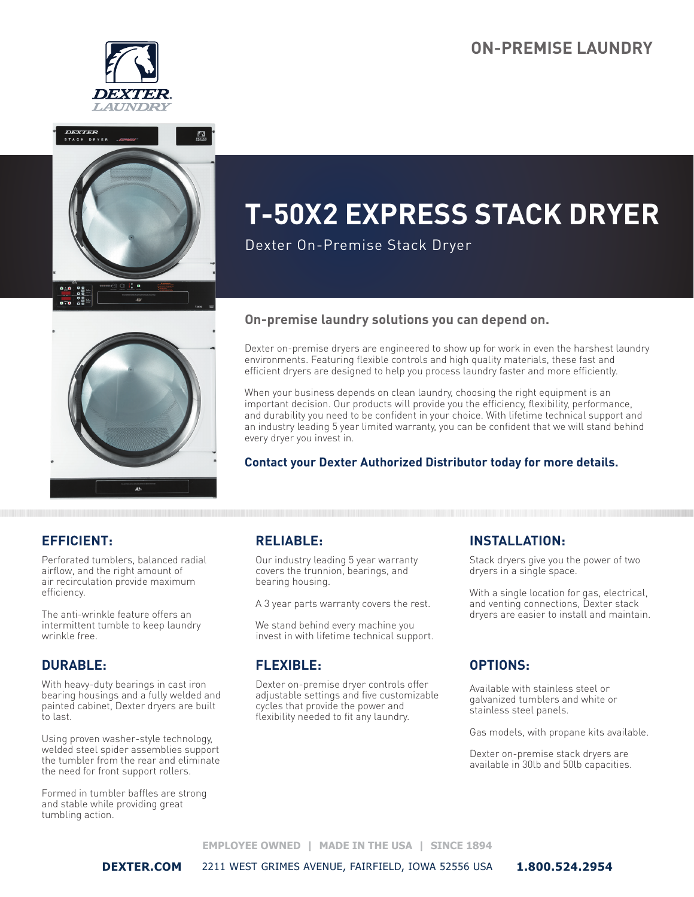## **ON-PREMISE LAUNDRY**







Dexter On-Premise Stack Dryer



#### **On-premise laundry solutions you can depend on.**

Dexter on-premise dryers are engineered to show up for work in even the harshest laundry environments. Featuring flexible controls and high quality materials, these fast and efficient dryers are designed to help you process laundry faster and more efficiently.

When your business depends on clean laundry, choosing the right equipment is an important decision. Our products will provide you the efficiency, flexibility, performance, and durability you need to be confident in your choice. With lifetime technical support and an industry leading 5 year limited warranty, you can be confident that we will stand behind every dryer you invest in.

#### **Contact your Dexter Authorized Distributor today for more details.**

### **EFFICIENT:**

Perforated tumblers, balanced radial airflow, and the right amount of air recirculation provide maximum efficiency.

The anti-wrinkle feature offers an intermittent tumble to keep laundry wrinkle free.

#### **DURABLE:**

With heavy-duty bearings in cast iron bearing housings and a fully welded and painted cabinet, Dexter dryers are built to last.

Using proven washer-style technology, welded steel spider assemblies support the tumbler from the rear and eliminate the need for front support rollers.

Formed in tumbler baffles are strong and stable while providing great tumbling action.

### **RELIABLE:**

Our industry leading 5 year warranty covers the trunnion, bearings, and bearing housing.

A 3 year parts warranty covers the rest.

We stand behind every machine you invest in with lifetime technical support.

#### **FLEXIBLE:**

Dexter on-premise dryer controls offer adjustable settings and five customizable cycles that provide the power and flexibility needed to fit any laundry.

#### **INSTALLATION:**

Stack dryers give you the power of two dryers in a single space.

With a single location for gas, electrical, and venting connections, Dexter stack dryers are easier to install and maintain.

#### **OPTIONS:**

Available with stainless steel or galvanized tumblers and white or stainless steel panels.

Gas models, with propane kits available.

Dexter on-premise stack dryers are available in 30lb and 50lb capacities.

**EMPLOYEE OWNED | MADE IN THE USA | SINCE 1894** 

**DEXTER.COM** 2211 WEST GRIMES AVENUE, FAIRFIELD, IOWA 52556 USA **1.800.524.2954**